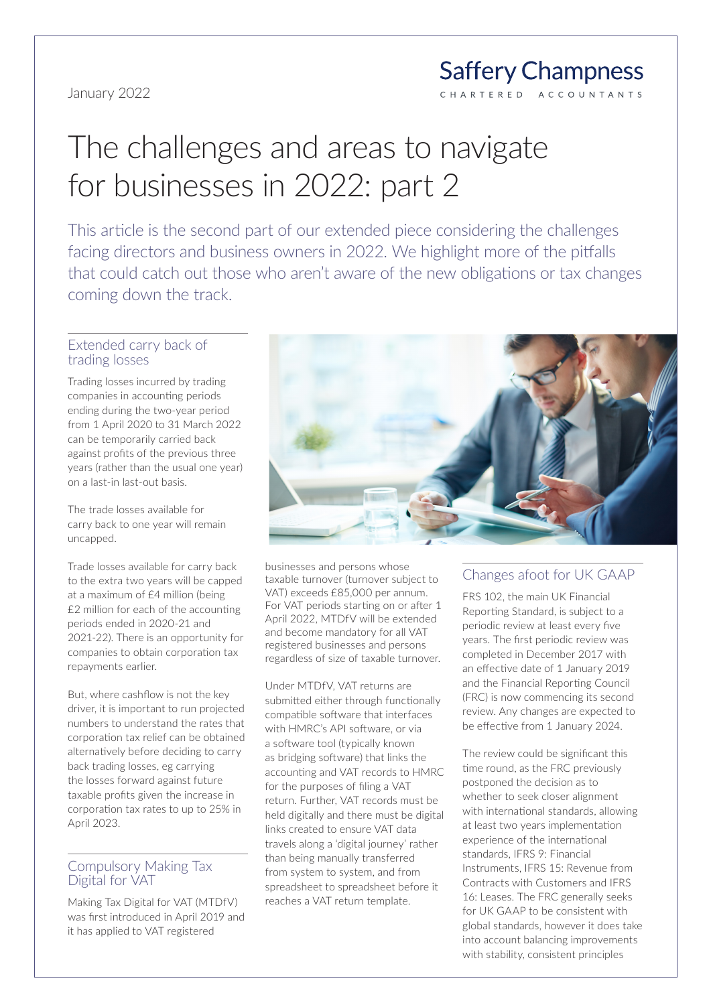#### January 2022

## **Saffery Champness** CHARTERED ACCOUNTANTS

# The challenges and areas to navigate for businesses in 2022: part 2

This article is the second part of our extended piece considering the challenges facing directors and business owners in 2022. We highlight more of the pitfalls that could catch out those who aren't aware of the new obligations or tax changes coming down the track.

#### Extended carry back of trading losses

Trading losses incurred by trading companies in accounting periods ending during the two-year period from 1 April 2020 to 31 March 2022 can be temporarily carried back against profits of the previous three years (rather than the usual one year) on a last-in last-out basis.

The trade losses available for carry back to one year will remain uncapped.

Trade losses available for carry back to the extra two years will be capped at a maximum of £4 million (being £2 million for each of the accounting periods ended in 2020-21 and 2021-22). There is an opportunity for companies to obtain corporation tax repayments earlier.

But, where cashflow is not the key driver, it is important to run projected numbers to understand the rates that corporation tax relief can be obtained alternatively before deciding to carry back trading losses, eg carrying the losses forward against future taxable profits given the increase in corporation tax rates to up to 25% in April 2023.

## Compulsory Making Tax Digital for VAT

Making Tax Digital for VAT (MTDfV) was first introduced in April 2019 and it has applied to VAT registered



businesses and persons whose taxable turnover (turnover subject to VAT) exceeds £85,000 per annum. For VAT periods starting on or after 1 April 2022, MTDfV will be extended and become mandatory for all VAT registered businesses and persons regardless of size of taxable turnover.

Under MTDfV, VAT returns are submitted either through functionally compatible software that interfaces with HMRC's API software, or via a software tool (typically known as bridging software) that links the accounting and VAT records to HMRC for the purposes of filing a VAT return. Further, VAT records must be held digitally and there must be digital links created to ensure VAT data travels along a 'digital journey' rather than being manually transferred from system to system, and from spreadsheet to spreadsheet before it reaches a VAT return template.

## Changes afoot for UK GAAP

FRS 102, the main UK Financial Reporting Standard, is subject to a periodic review at least every five years. The first periodic review was completed in December 2017 with an effective date of 1 January 2019 and the Financial Reporting Council (FRC) is now commencing its second review. Any changes are expected to be effective from 1 January 2024.

The review could be significant this time round, as the FRC previously postponed the decision as to whether to seek closer alignment with international standards, allowing at least two years implementation experience of the international standards, IFRS 9: Financial Instruments, IFRS 15: Revenue from Contracts with Customers and IFRS 16: Leases. The FRC generally seeks for UK GAAP to be consistent with global standards, however it does take into account balancing improvements with stability, consistent principles